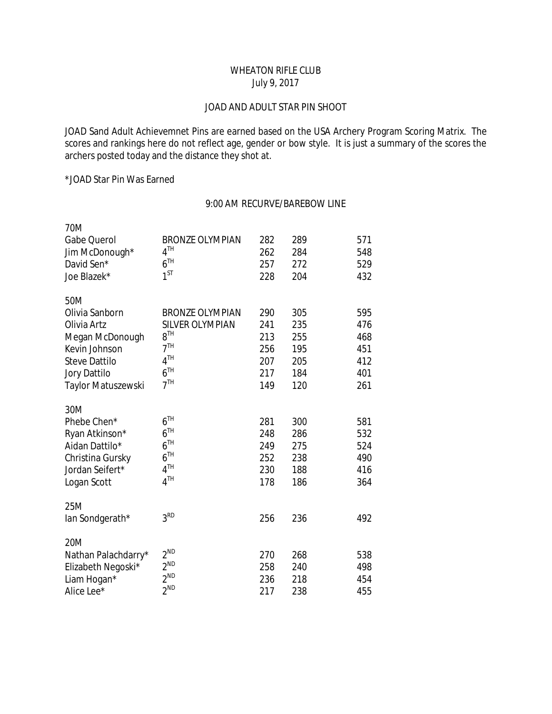# WHEATON RIFLE CLUB July 9, 2017

#### JOAD AND ADULT STAR PIN SHOOT

JOAD Sand Adult Achievemnet Pins are earned based on the USA Archery Program Scoring Matrix. The scores and rankings here do not reflect age, gender or bow style. It is just a summary of the scores the archers posted today and the distance they shot at.

\*JOAD Star Pin Was Earned

## 9:00 AM RECURVE/BAREBOW LINE

| 70M                  |                        |     |     |     |
|----------------------|------------------------|-----|-----|-----|
| Gabe Querol          | <b>BRONZE OLYMPIAN</b> | 282 | 289 | 571 |
| Jim McDonough*       | 4 <sup>TH</sup>        | 262 | 284 | 548 |
| David Sen*           | 6 <sup>TH</sup>        | 257 | 272 | 529 |
| Joe Blazek*          | $1^{ST}$               | 228 | 204 | 432 |
| 50M                  |                        |     |     |     |
| Olivia Sanborn       | <b>BRONZE OLYMPIAN</b> | 290 | 305 | 595 |
| Olivia Artz          | <b>SILVER OLYMPIAN</b> | 241 | 235 | 476 |
| Megan McDonough      | $8^{TH}$               | 213 | 255 | 468 |
| Kevin Johnson        | 7 <sup>TH</sup>        | 256 | 195 | 451 |
| <b>Steve Dattilo</b> | 4 <sup>TH</sup>        | 207 | 205 | 412 |
| Jory Dattilo         | 6 <sup>TH</sup>        | 217 | 184 | 401 |
| Taylor Matuszewski   | 7 <sup>TH</sup>        | 149 | 120 | 261 |
| 30M                  |                        |     |     |     |
| Phebe Chen*          | 6 <sup>TH</sup>        | 281 | 300 | 581 |
| Ryan Atkinson*       | 6 <sup>TH</sup>        | 248 | 286 | 532 |
| Aidan Dattilo*       | 6 <sup>TH</sup>        | 249 | 275 | 524 |
| Christina Gursky     | 6 <sup>TH</sup>        | 252 | 238 | 490 |
| Jordan Seifert*      | 4 <sup>TH</sup>        | 230 | 188 | 416 |
| Logan Scott          | 4 <sup>TH</sup>        | 178 | 186 | 364 |
| 25M                  |                        |     |     |     |
| lan Sondgerath*      | 3 <sup>RD</sup>        | 256 | 236 | 492 |
| 20M                  |                        |     |     |     |
| Nathan Palachdarry*  | $2^{ND}$               | 270 | 268 | 538 |
| Elizabeth Negoski*   | $2^{ND}$               | 258 | 240 | 498 |
| Liam Hogan*          | $2^{ND}$               | 236 | 218 | 454 |
| Alice Lee*           | $2^{ND}$               | 217 | 238 | 455 |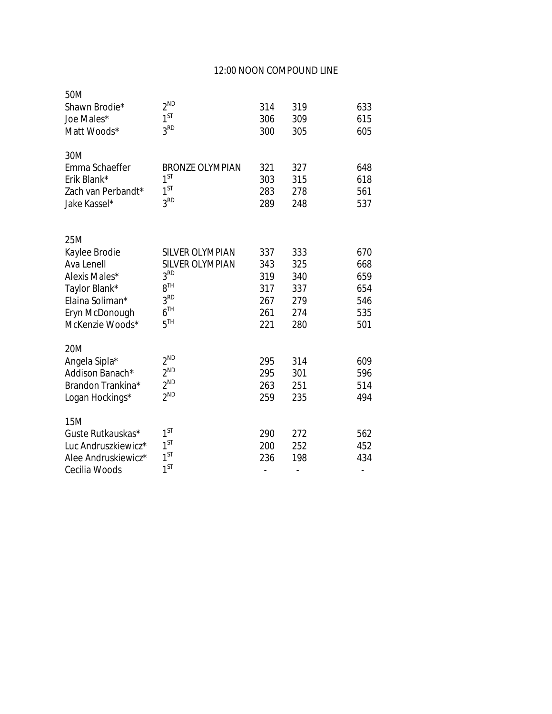## 12:00 NOON COMPOUND LINE

| 50M<br>Shawn Brodie*<br>Joe Males*<br>Matt Woods*                                                                            | $2^{ND}$<br>$1^{ST}$<br>3 <sup>RD</sup>                                                                                                  | 314<br>306<br>300                             | 319<br>309<br>305                             | 633<br>615<br>605                             |
|------------------------------------------------------------------------------------------------------------------------------|------------------------------------------------------------------------------------------------------------------------------------------|-----------------------------------------------|-----------------------------------------------|-----------------------------------------------|
| 30M<br>Emma Schaeffer<br>Erik Blank*<br>Zach van Perbandt*<br>Jake Kassel*                                                   | <b>BRONZE OLYMPIAN</b><br>$1^{ST}$<br>$1^{ST}$<br>3 <sup>RD</sup>                                                                        | 321<br>303<br>283<br>289                      | 327<br>315<br>278<br>248                      | 648<br>618<br>561<br>537                      |
| 25M<br>Kaylee Brodie<br>Ava Lenell<br>Alexis Males*<br>Taylor Blank*<br>Elaina Soliman*<br>Eryn McDonough<br>McKenzie Woods* | <b>SILVER OLYMPIAN</b><br><b>SILVER OLYMPIAN</b><br>3 <sup>RD</sup><br>8 <sup>TH</sup><br>3 <sup>RD</sup><br>6 <sup>TH</sup><br>$5^{TH}$ | 337<br>343<br>319<br>317<br>267<br>261<br>221 | 333<br>325<br>340<br>337<br>279<br>274<br>280 | 670<br>668<br>659<br>654<br>546<br>535<br>501 |
| 20M<br>Angela Sipla*<br>Addison Banach*<br>Brandon Trankina*<br>Logan Hockings*                                              | $2^{ND}$<br>$2^{ND}$<br>$2^{ND}$<br>$2^{ND}$                                                                                             | 295<br>295<br>263<br>259                      | 314<br>301<br>251<br>235                      | 609<br>596<br>514<br>494                      |
| 15M<br>Guste Rutkauskas*<br>Luc Andruszkiewicz*<br>Alee Andruskiewicz*<br>Cecilia Woods                                      | $1^{ST}$<br>$1^{ST}$<br>$1^{ST}$<br>$1^{ST}$                                                                                             | 290<br>200<br>236<br>$\overline{a}$           | 272<br>252<br>198<br>$\overline{a}$           | 562<br>452<br>434                             |